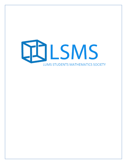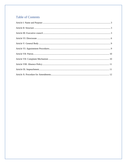# **Table of Contents**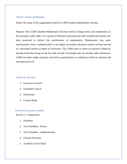## <span id="page-2-0"></span>Article I: Name and Purpose:

Name: the name of the organization shall be LUMS Students Mathematics Society

Purpose: The LUMS Students Mathematics Society works to bring science and mathematics to the everyday coffee table. It is a group of talented, motivated and well-rounded individuals who have promised to deliver this proliferation of mathematics. Mathematics has, quite unfortunately, been a subdued affair in our higher secondary education system and that has led to a decreased interest in Math in University. The LSMS aims to foster an interest in Math by having events that bring out the fun side of math. For people who are already math enthusiasts, LSMS provides ample exposure and aids in participation in conferences both on national and international level.

## <span id="page-2-1"></span>Article II: Structure

- 1. Executive Council
- 2. Extended Council
- 3. Directorate
- 4. General Body

## Article III: Executive council

#### <span id="page-2-2"></span>Section 1: Composition

- 1. President
- 2. Vice President Events
- 3. Vice President Administration
- 4. General Secretary
- 5. Academic Event Head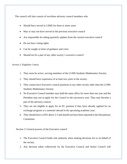The council will also consist of two/three advisory council members who

- Should have served in LSMS for three or more years
- May or may not have served in the previous executive council
- Are responsible for taking quarterly updates from the current executive council
- Do not have voting rights
- Can be sought at times of guidance and crisis
- Should not be a part of any other society's executive council

Section 2: Eligibility Criteria

- 1. They must be active, serving members of the LUMS Students Mathematics Society.
- 2. They should have experience of at least two years in the society.
- 3. They cannot have Executive council positions in any other society other than the LUMS Students Mathematics Society.
- 4. No Executive Council member may hold the same office for more than one year and the President may not re-apply for the Council in the successive year. They may become a part of the advisory council
- 5. They are not eligible to apply for an EC position if they have already applied for an exchange program or a semester abroad in the upcoming academic year.
- 6. They should have a GPA above 2.5 and should not have been reported to the Disciplinary Committee.

Section 3: General powers of the Executive council

- 1. The Executive Council holds sole authority when making decisions for or on behalf of the society.
- 2. Any decision taken collectively by the Executive Council and Senior Council will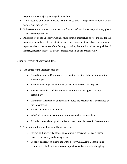require a simple majority amongst its members.

- 3. The Executive Council shall ensure that this constitution is respected and upheld by all members of the society.
- 4. If the constitution is silent on a matter, the Executive Council must respond to any given issue based on precedent.
- 5. All members of the Executive Council must conduct themselves as role models for the remaining members of the Society and must present themselves in a manner representative of the values of the Society, including, but not limited to, the qualities of honesty, integrity, justice, discipline, professionalism and approachability.

Section 4: Division of powers and duties

- 1. The duties of the President shall be:
	- Attend the Student Organizations Orientation Session at the beginning of the academic year.
	- Attend all meetings and activities or send a member in his/her place.
	- Review and understand the current constitution and manage the society accordingly
	- Ensure that the members understand the rules and regulations as determined by the Constitution.
	- Adhere to all university policies.
	- Fulfill all other responsibilities that are assigned to the President.
	- Take decisions when a particular issue is not is not discussed in the constitution
- 2. The duties of the Vice President-Events shall be:
	- Interact with university offices on continuous basis and work as a liaison between the society and management.
	- Focus specifically on events and work closely with Events Department to ensure that LSMS continues to come up with creative and mind-boggling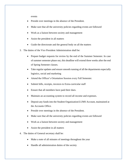events

- Preside over meetings in the absence of the President.
- Make sure that all the university policies regarding events are followed
- Work as a liaison between society and management
- Assist the president in all matters
- Guide the directorate and the general body on all the matters
- 3. The duties of the Vice President Administration shall be:
	- Prepare budget requests for review by the end of the Summer Semester. In case of summer semester phase out, this deadline will extend three weeks after the end of Spring Semester classes.
	- Take regular updates and ensure smooth running of all the departments especially logistics, social and marketing
	- Attend the Officer's Orientation Session every Fall Semester.
	- Submit bills, receipts, invoices to Extra-curricular staff
	- Ensure that all members have paid their dues.
	- Maintain an accounting system to record all income and expenses.
	- Deposit any funds into the Student Organization/LUMS Account, maintained at the Accounts Office.
	- Preside over meetings in the absence of the President.
	- Make sure that all the university policies regarding events are followed
	- Work as a liaison between society and management
	- Assist the president in all matters
- 4. The duties of General secretary shall be:
	- Make a note of all minutes of meetings throughout the year
	- Handle all administration duties of the society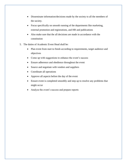- Disseminate information/decisions made by the society to all the members of the society.
- Focus specifically on smooth running of the departments like marketing, external promotion and registrations, and HR and publications
- Also make sure that the all decisions are made in accordance with the constitution
- 5. The duties of Academic Event Head shall be:
	- Plan event from start to finish according to requirements, target audience and objectives
	- Come up with suggestions to enhance the event's success
	- Ensure adherence and obedience throughout the event
	- Source and negotiate with vendors and suppliers
	- Coordinate all operations
	- Approve all aspects before the day of the event
	- Ensure event is completed smoothly and step up to resolve any problems that might occur
	- Analyze the event's success and prepare reports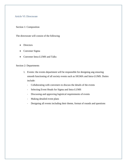## <span id="page-7-0"></span>Article VI: Directorate

Section 1: Composition

The directorate will consist of the following

- **Directors**
- Convener Sigma
- Convener Intra-LUMS and Talks

## Section 2: Departments

- 1. Events: the events department will be responsible for designing ang ensuring smooth functioning of all society events such as SIGMA and Intra-LUMS. Duties include:
	- Collaborating with conveners to discuss the details of the events
	- Selecting Event Heads for Sigma and Intra-LUMS
	- Discussing and approving logistical requirements of events
	- Making detailed event plans
	- Designing all events including their theme, format of rounds and questions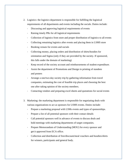- 2. Logistics: the logistics department is responsible for fulfilling the logistical requirements of all departments and events including the socials. Duties include:
	- Discussing and approving logistical requirements of events
	- Raising timely PRs for all logistical requirements
	- Collection of logistics from store and proper distribution of logistics to all events
	- Collecting remaining logistics after events and placing them in LSMS store
	- Booking venues for events and socials
	- Collecting money, placing orders and distribution of shirts/hoodies for orientation and Sigma (only if they are provided by the society. If sponsored, this falls under the domain of marketing)
	- Keep record of the society account and reimbursements of student expenditure.
	- Assist the department of Promotions and Design in printing of standees and posters
	- Arrange a one/two-day society trip by gathering information from travel companies, estimating the cost of feasible trip places and choosing the best one after taking opinion of the society members.
	- Contacting vendors and preparing excel sheets and quotations for social events
- 3. Marketing: the marketing department is responsible for negotiating deals with various organizations to act as sponsors for LSMS events. Duties include:
	- Prepare a marketing proposal with LSMs events and types of sponsorships.
	- Prepare a list of all potential sponsors with their contact details
	- Call potential sponsors well in advance of events to discuss deals and hold meetings with marketing departments of target companies.
	- Prepare Memorandum of Understanding (MOU) for every sponsor and get it approved from ECA office.
	- Collection and distribution of free/discount/meal vouchers and hoodies/shirts for winners, participants and general body.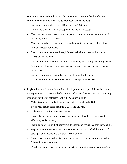- 4. Human Resource and Publications: this department is responsible for effective communication among the entire general body. Duties include:
	- Provision of venues for General Body Meetings (GBMs).
	- Communication/Reminders through emails and text messages.
	- Keep track of contact details of entire general body and ensure the presence of all society members at GBMs
	- Mark the attendance for each meeting and maintain minutes of each meeting
	- Publish writeups for events
	- Reach out to new members through O week fair signup sheet and promote LSMS events via email
	- Coordinating with host team including volunteers, and participants during events
	- Create ways of inculcating motivation and the core values of the society across all members
	- Conduct and innovate methods of ice-breaking within the society
	- Create and implement a comprehensive security plan for SIGMA
- 5. Registrations and External Promotions: this department is responsible for facilitating the registrations process for both internal and external events and for attracting maximum number of delegates for SIGMA. Duties include:
	- Make signup sheets and attendance sheets for O week and GBMs
	- Set up registration desks for Intra-LUMS and SIGMA
	- Make registration forms for every event
	- Ensure that all queries, questions or problems raised by delegates are dealt with effectively and efficiently
	- Promptly follow up with all registered delegates and ensure that they pay on time
	- Prepare a comprehensive list of institutes to be approached by LSMS for participation in events and call them for invitations
	- Ensure that emails and packages are sent out to relevant institutions and are followed up with EP visits.
	- Develop a comprehensive plan to contact, invite and secure a wide range of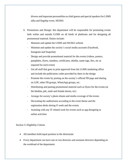diverse and important personalities as chief guests and special speakers for LSMS talks and flagship event, SIGMA

- 6. Promotions and Design: this department will be responsible for promoting events both within and outside LUMS on all kinds of platforms and for designing all promotional material. Duties include:
	- Maintain and update the LSMS and SIGMA website
	- Maintain and update the society's social media accounts (Facebook, Instagram and Snapchat)
	- Design and provide promotional material for the events (videos, posters, pamphlets, flyers, standees, certificates, shields, name tags, flex, etc as required for each event)
	- Get all stuff that goes in print approved from the LUMS marketing office and include the publication codes provided by them in the design
	- Promote the events by posting on the society's official FB page and sharing on LDF, other FB groups, WhatsApp groups, etc.
	- Distributing and pasting promotional material such as flyers for the events (at the khokha, pdc, male and female dorms, etc)
	- Arrange for society's photo shoots and media coverage of the events
	- Decorating the auditoriums according to the event theme and the registration desks during O week and the events.
	- Assisting with any IT related work for events such as app designing or online activities

## Section 3: Eligibility Criteria

- All members hold equal position in the directorate
- Every department can have one or two directors and assistant directors depending on the workload of the department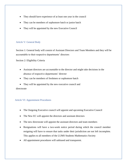- They should have experience of at least one year in the council
- They can be members of sophomore batch or junior batch
- They will be appointed by the new Executive Council

# <span id="page-11-0"></span>Article V: General Body

Section 1: General body will consist of Assistant Directors and Team Members and they will be accountable to their respective departments' directors

Section 2: Eligibility Criteria

- Assistant directors are accountable to the director and might take decisions in the absence of respective departments' director
- They can be members of freshmen or sophomore batch
- <span id="page-11-1"></span>• They will be appointed by the new executive council and

directorate

# Article VI: Appointment Procedures

- The Outgoing Executive council will appoint and upcoming Executive Council
- The New EC will appoint the directors and assistant directors
- The new directorate will appoint the assistant directors and team members
- Resignations will have a two-week notice period during which the council member resigning will have to ensure that tasks under their jurisdiction are not left incomplete. This applies to all members of the LUMS Students Mathematics Society
- All appointment procedures will unbiased and transparent.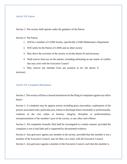### <span id="page-12-0"></span>Article VII: Patron

Section 1: The society shall operate under the guidance of the Patron

## Section 2: The Patron

- 1. Will be a member of LUMS faculty, specifically LUMS Mathematics Department
- 2. Will solely be the Patron of LSMS and no other society
- 3. May direct the activities of the society as he/she deems fit and necessary
- 4. Shall reserve final say on the matters, including arbitrating on any matter of conflict that may arise with the Executive Council

<span id="page-12-1"></span>5. May remove any member from any position as he/ she deems if necessary

### Article VII: Complaint Mechanism

Section 1. The society will have a formal mechanism for the filing of complaints against any office bearer.

Section 2. A complaint may be against actions including gross misconduct, exploitation of the powers associated with a particular post, failure to discharge duties reasonably or professionally, violation of the core values of honesty, integrity, discipline or professionalism, misrepresentation of the member's post in the society, or any other such offense.

Section 3. All complaints formally filed shall be investigated in a timely manner, provided the complaint is not in bad faith and is supported by documented evidence.

Section 4. Any grievance against any member in the society, provided that this member is not a member of the Executive Council, may be filed, via e-mail, with the Executive Council.

Section 5. Any grievance against a member of the Executive Council, such that this member is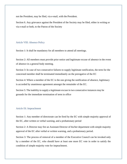not the President, may be filed, via e-mail, with the President.

Section 6. Any grievance against the President of the Society may be filed, either in writing or via e-mail or both, to the Patron of the Society

#### <span id="page-13-0"></span>Article VIII: Absence Policy

Section 1: It shall be mandatory for all members to attend all meetings.

Section 2: All members must provide prior notice and legitimate excuse of absence in the event of absence in a general body meeting.

Section 3: In case of two consecutive failures to supply legitimate notification, the term for the concerned member shall be terminated immediately on the prerogative of the EC

Section 4: Where a member of the EC is the one giving the notification of absence, legitimacy is accorded by unanimous agreement amongst the remainder of the EC.

Section 5: The inability to supply a legitimate excuse in two consecutive instances may be grounds for the immediate termination of term in office

#### <span id="page-13-1"></span>Article IX: Impeachment

Section 1: Any member of directorate can be fired by the EC with simple majority approval of the EC, after written or verbal warning, and a probationary period

Section 2: A Director may fire an Assistant Director of his/her department with simple majority approval of the EC after verbal or written warning, and a probationary period.

<span id="page-13-2"></span>Section 3: The process of removal of a member of the Executive Council can be invoked only by a member of the EC, who should have at least one more EC vote in order to satisfy the condition of simple majority vote for impeachment.